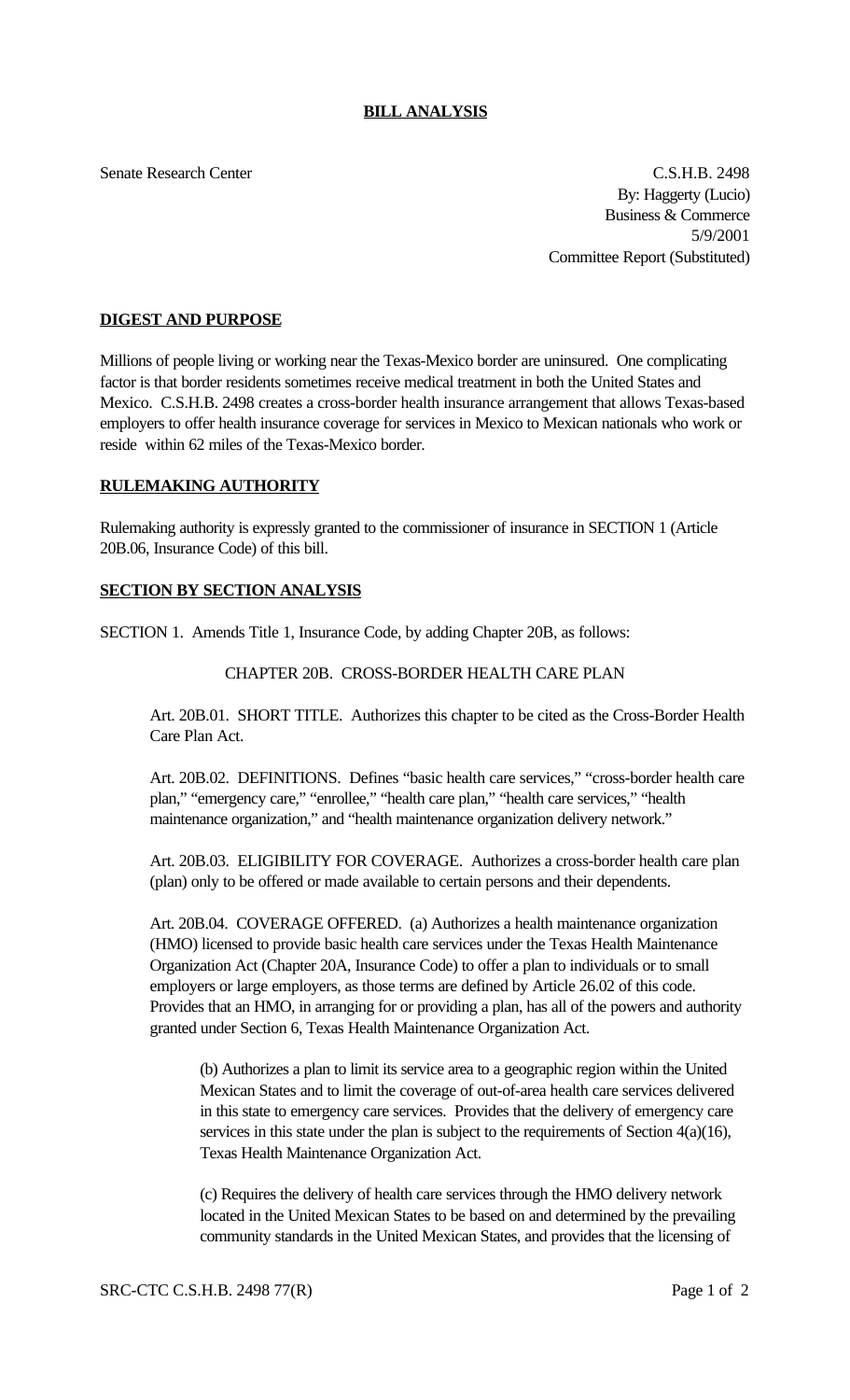#### **BILL ANALYSIS**

Senate Research Center C.S.H.B. 2498 By: Haggerty (Lucio) Business & Commerce 5/9/2001 Committee Report (Substituted)

#### **DIGEST AND PURPOSE**

Millions of people living or working near the Texas-Mexico border are uninsured. One complicating factor is that border residents sometimes receive medical treatment in both the United States and Mexico. C.S.H.B. 2498 creates a cross-border health insurance arrangement that allows Texas-based employers to offer health insurance coverage for services in Mexico to Mexican nationals who work or reside within 62 miles of the Texas-Mexico border.

# **RULEMAKING AUTHORITY**

Rulemaking authority is expressly granted to the commissioner of insurance in SECTION 1 (Article 20B.06, Insurance Code) of this bill.

# **SECTION BY SECTION ANALYSIS**

SECTION 1. Amends Title 1, Insurance Code, by adding Chapter 20B, as follows:

# CHAPTER 20B. CROSS-BORDER HEALTH CARE PLAN

Art. 20B.01. SHORT TITLE. Authorizes this chapter to be cited as the Cross-Border Health Care Plan Act.

Art. 20B.02. DEFINITIONS. Defines "basic health care services," "cross-border health care plan," "emergency care," "enrollee," "health care plan," "health care services," "health maintenance organization," and "health maintenance organization delivery network."

Art. 20B.03. ELIGIBILITY FOR COVERAGE. Authorizes a cross-border health care plan (plan) only to be offered or made available to certain persons and their dependents.

Art. 20B.04. COVERAGE OFFERED. (a) Authorizes a health maintenance organization (HMO) licensed to provide basic health care services under the Texas Health Maintenance Organization Act (Chapter 20A, Insurance Code) to offer a plan to individuals or to small employers or large employers, as those terms are defined by Article 26.02 of this code. Provides that an HMO, in arranging for or providing a plan, has all of the powers and authority granted under Section 6, Texas Health Maintenance Organization Act.

(b) Authorizes a plan to limit its service area to a geographic region within the United Mexican States and to limit the coverage of out-of-area health care services delivered in this state to emergency care services. Provides that the delivery of emergency care services in this state under the plan is subject to the requirements of Section  $4(a)(16)$ , Texas Health Maintenance Organization Act.

(c) Requires the delivery of health care services through the HMO delivery network located in the United Mexican States to be based on and determined by the prevailing community standards in the United Mexican States, and provides that the licensing of